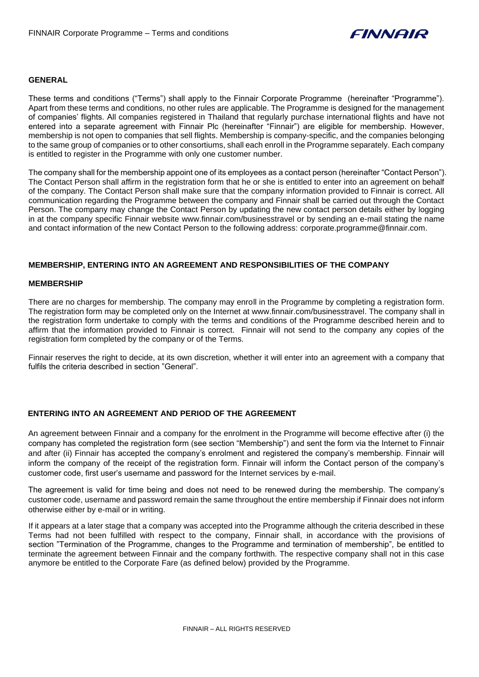

## **GENERAL**

These terms and conditions ("Terms") shall apply to the Finnair Corporate Programme (hereinafter "Programme"). Apart from these terms and conditions, no other rules are applicable. The Programme is designed for the management of companies' flights. All companies registered in Thailand that regularly purchase international flights and have not entered into a separate agreement with Finnair Plc (hereinafter "Finnair") are eligible for membership. However, membership is not open to companies that sell flights. Membership is company-specific, and the companies belonging to the same group of companies or to other consortiums, shall each enroll in the Programme separately. Each company is entitled to register in the Programme with only one customer number.

The company shall for the membership appoint one of its employees as a contact person (hereinafter "Contact Person"). The Contact Person shall affirm in the registration form that he or she is entitled to enter into an agreement on behalf of the company. The Contact Person shall make sure that the company information provided to Finnair is correct. All communication regarding the Programme between the company and Finnair shall be carried out through the Contact Person. The company may change the Contact Person by updating the new contact person details either by logging in at the company specific Finnair website www.finnair.com/businesstravel or by sending an e-mail stating the name and contact information of the new Contact Person to the following address: corporate.programme@finnair.com.

## **MEMBERSHIP, ENTERING INTO AN AGREEMENT AND RESPONSIBILITIES OF THE COMPANY**

#### **MEMBERSHIP**

There are no charges for membership. The company may enroll in the Programme by completing a registration form. The registration form may be completed only on the Internet at www.finnair.com/businesstravel. The company shall in the registration form undertake to comply with the terms and conditions of the Programme described herein and to affirm that the information provided to Finnair is correct. Finnair will not send to the company any copies of the registration form completed by the company or of the Terms.

Finnair reserves the right to decide, at its own discretion, whether it will enter into an agreement with a company that fulfils the criteria described in section "General".

## **ENTERING INTO AN AGREEMENT AND PERIOD OF THE AGREEMENT**

An agreement between Finnair and a company for the enrolment in the Programme will become effective after (i) the company has completed the registration form (see section "Membership") and sent the form via the Internet to Finnair and after (ii) Finnair has accepted the company's enrolment and registered the company's membership. Finnair will inform the company of the receipt of the registration form. Finnair will inform the Contact person of the company's customer code, first user's username and password for the Internet services by e-mail.

The agreement is valid for time being and does not need to be renewed during the membership. The company's customer code, username and password remain the same throughout the entire membership if Finnair does not inform otherwise either by e-mail or in writing.

If it appears at a later stage that a company was accepted into the Programme although the criteria described in these Terms had not been fulfilled with respect to the company, Finnair shall, in accordance with the provisions of section "Termination of the Programme, changes to the Programme and termination of membership", be entitled to terminate the agreement between Finnair and the company forthwith. The respective company shall not in this case anymore be entitled to the Corporate Fare (as defined below) provided by the Programme.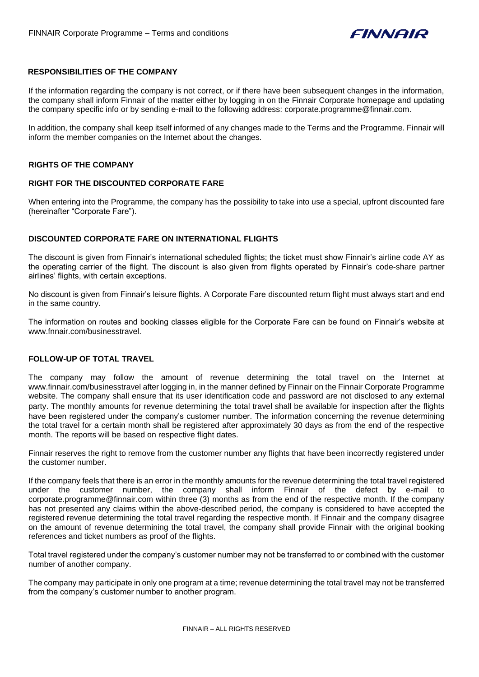

# **RESPONSIBILITIES OF THE COMPANY**

If the information regarding the company is not correct, or if there have been subsequent changes in the information, the company shall inform Finnair of the matter either by logging in on the Finnair Corporate homepage and updating the company specific info or by sending e-mail to the following address: corporate.programme@finnair.com.

In addition, the company shall keep itself informed of any changes made to the Terms and the Programme. Finnair will inform the member companies on the Internet about the changes.

#### **RIGHTS OF THE COMPANY**

## **RIGHT FOR THE DISCOUNTED CORPORATE FARE**

When entering into the Programme, the company has the possibility to take into use a special, upfront discounted fare (hereinafter "Corporate Fare").

## **DISCOUNTED CORPORATE FARE ON INTERNATIONAL FLIGHTS**

The discount is given from Finnair's international scheduled flights; the ticket must show Finnair's airline code AY as the operating carrier of the flight. The discount is also given from flights operated by Finnair's code-share partner airlines' flights, with certain exceptions.

No discount is given from Finnair's leisure flights. A Corporate Fare discounted return flight must always start and end in the same country.

The information on routes and booking classes eligible for the Corporate Fare can be found on Finnair's website at www.fnnair.com/businesstravel.

# **FOLLOW-UP OF TOTAL TRAVEL**

The company may follow the amount of revenue determining the total travel on the Internet at www.finnair.com/businesstravel after logging in, in the manner defined by Finnair on the Finnair Corporate Programme website. The company shall ensure that its user identification code and password are not disclosed to any external party. The monthly amounts for revenue determining the total travel shall be available for inspection after the flights have been registered under the company's customer number. The information concerning the revenue determining the total travel for a certain month shall be registered after approximately 30 days as from the end of the respective month. The reports will be based on respective flight dates.

Finnair reserves the right to remove from the customer number any flights that have been incorrectly registered under the customer number.

If the company feels that there is an error in the monthly amounts for the revenue determining the total travel registered under the customer number, the company shall inform Finnair of the defect by e-mail to corporate.programme@finnair.com within three (3) months as from the end of the respective month. If the company has not presented any claims within the above-described period, the company is considered to have accepted the registered revenue determining the total travel regarding the respective month. If Finnair and the company disagree on the amount of revenue determining the total travel, the company shall provide Finnair with the original booking references and ticket numbers as proof of the flights.

Total travel registered under the company's customer number may not be transferred to or combined with the customer number of another company.

The company may participate in only one program at a time; revenue determining the total travel may not be transferred from the company's customer number to another program.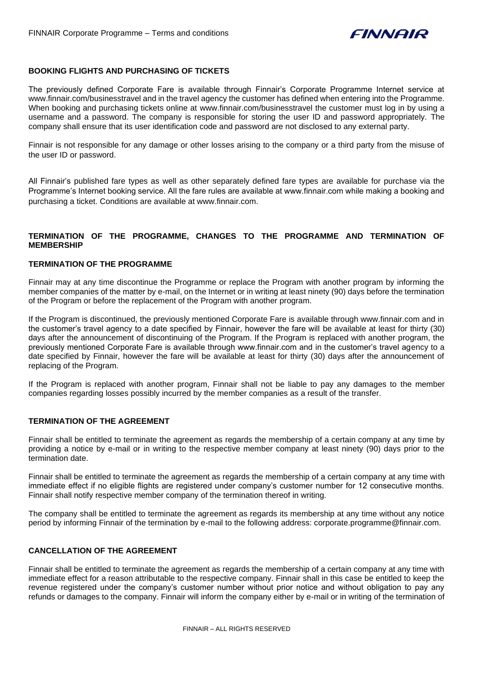

# **BOOKING FLIGHTS AND PURCHASING OF TICKETS**

The previously defined Corporate Fare is available through Finnair's Corporate Programme Internet service at www.finnair.com/businesstravel and in the travel agency the customer has defined when entering into the Programme. When booking and purchasing tickets online at www.finnair.com/businesstravel the customer must log in by using a username and a password. The company is responsible for storing the user ID and password appropriately. The company shall ensure that its user identification code and password are not disclosed to any external party.

Finnair is not responsible for any damage or other losses arising to the company or a third party from the misuse of the user ID or password.

All Finnair's published fare types as well as other separately defined fare types are available for purchase via the Programme's Internet booking service. All the fare rules are available at www.finnair.com while making a booking and purchasing a ticket. Conditions are available at www.finnair.com.

# **TERMINATION OF THE PROGRAMME, CHANGES TO THE PROGRAMME AND TERMINATION OF MEMBERSHIP**

# **TERMINATION OF THE PROGRAMME**

Finnair may at any time discontinue the Programme or replace the Program with another program by informing the member companies of the matter by e-mail, on the Internet or in writing at least ninety (90) days before the termination of the Program or before the replacement of the Program with another program.

If the Program is discontinued, the previously mentioned Corporate Fare is available through www.finnair.com and in the customer's travel agency to a date specified by Finnair, however the fare will be available at least for thirty (30) days after the announcement of discontinuing of the Program. If the Program is replaced with another program, the previously mentioned Corporate Fare is available through www.finnair.com and in the customer's travel agency to a date specified by Finnair, however the fare will be available at least for thirty (30) days after the announcement of replacing of the Program.

If the Program is replaced with another program, Finnair shall not be liable to pay any damages to the member companies regarding losses possibly incurred by the member companies as a result of the transfer.

# **TERMINATION OF THE AGREEMENT**

Finnair shall be entitled to terminate the agreement as regards the membership of a certain company at any time by providing a notice by e-mail or in writing to the respective member company at least ninety (90) days prior to the termination date.

Finnair shall be entitled to terminate the agreement as regards the membership of a certain company at any time with immediate effect if no eligible flights are registered under company's customer number for 12 consecutive months. Finnair shall notify respective member company of the termination thereof in writing.

The company shall be entitled to terminate the agreement as regards its membership at any time without any notice period by informing Finnair of the termination by e-mail to the following address: corporate.programme@finnair.com.

# **CANCELLATION OF THE AGREEMENT**

Finnair shall be entitled to terminate the agreement as regards the membership of a certain company at any time with immediate effect for a reason attributable to the respective company. Finnair shall in this case be entitled to keep the revenue registered under the company's customer number without prior notice and without obligation to pay any refunds or damages to the company. Finnair will inform the company either by e-mail or in writing of the termination of